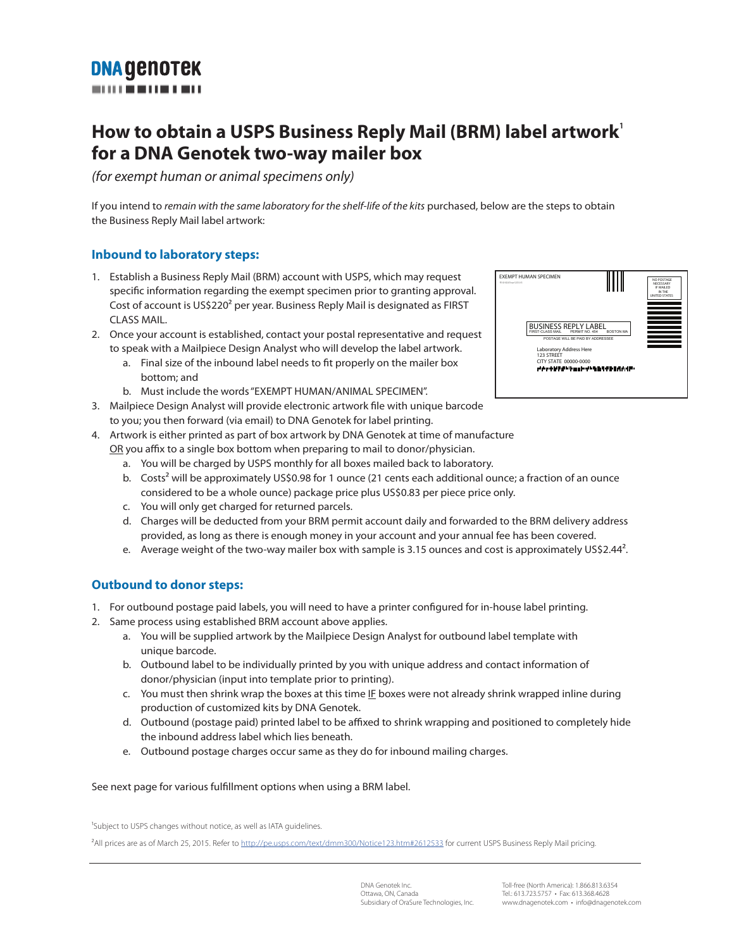# **DNA GENOTEK**

### **How to obtain a USPS Business Reply Mail (BRM) label artwork<sup>1</sup> for a DNA Genotek two-way mailer box**

*(for exempt human or animal specimens only)*

If you intend to *remain with the same laboratory for the shelf-life of the kits* purchased, below are the steps to obtain the Business Reply Mail label artwork:

### **Inbound to laboratory steps:**

- 1. Establish a Business Reply Mail (BRM) account with USPS, which may request specific information regarding the exempt specimen prior to granting approval. Cost of account is US\$220² per year. Business Reply Mail is designated as FIRST CLASS MAIL.
- 2. Once your account is established, contact your postal representative and request to speak with a Mailpiece Design Analyst who will develop the label artwork.
	- a. Final size of the inbound label needs to fit properly on the mailer box bottom; and
	- b. Must include the words "EXEMPT HUMAN/ANIMAL SPECIMEN".
- 3. Mailpiece Design Analyst will provide electronic artwork file with unique barcode to you; you then forward (via email) to DNA Genotek for label printing.
- 4. Artwork is either printed as part of box artwork by DNA Genotek at time of manufacture OR you affix to a single box bottom when preparing to mail to donor/physician.
	- a. You will be charged by USPS monthly for all boxes mailed back to laboratory.
	- b. Costs<sup>2</sup> will be approximately US\$0.98 for 1 ounce (21 cents each additional ounce; a fraction of an ounce considered to be a whole ounce) package price plus US\$0.83 per piece price only.
	- c. You will only get charged for returned parcels.
	- d. Charges will be deducted from your BRM permit account daily and forwarded to the BRM delivery address provided, as long as there is enough money in your account and your annual fee has been covered.
	- e. Average weight of the two-way mailer box with sample is 3.15 ounces and cost is approximately US\$2.44².

### **Outbound to donor steps:**

- 1. For outbound postage paid labels, you will need to have a printer configured for in-house label printing.
- 2. Same process using established BRM account above applies.
	- a. You will be supplied artwork by the Mailpiece Design Analyst for outbound label template with unique barcode.
	- b. Outbound label to be individually printed by you with unique address and contact information of donor/physician (input into template prior to printing).
	- c. You must then shrink wrap the boxes at this time IF boxes were not already shrink wrapped inline during production of customized kits by DNA Genotek.
	- d. Outbound (postage paid) printed label to be affixed to shrink wrapping and positioned to completely hide the inbound address label which lies beneath.
	- e. Outbound postage charges occur same as they do for inbound mailing charges.

See next page for various ful fillment options when using a BRM label.

<sup>1</sup>Subject to USPS changes without notice, as well as IATA guidelines.

<sup>2</sup>All prices are as of March 25, 2015. Refer to http://pe.usps.com/text/dmm300/Notice123.htm#2612533 for current USPS Business Reply Mail pricing.